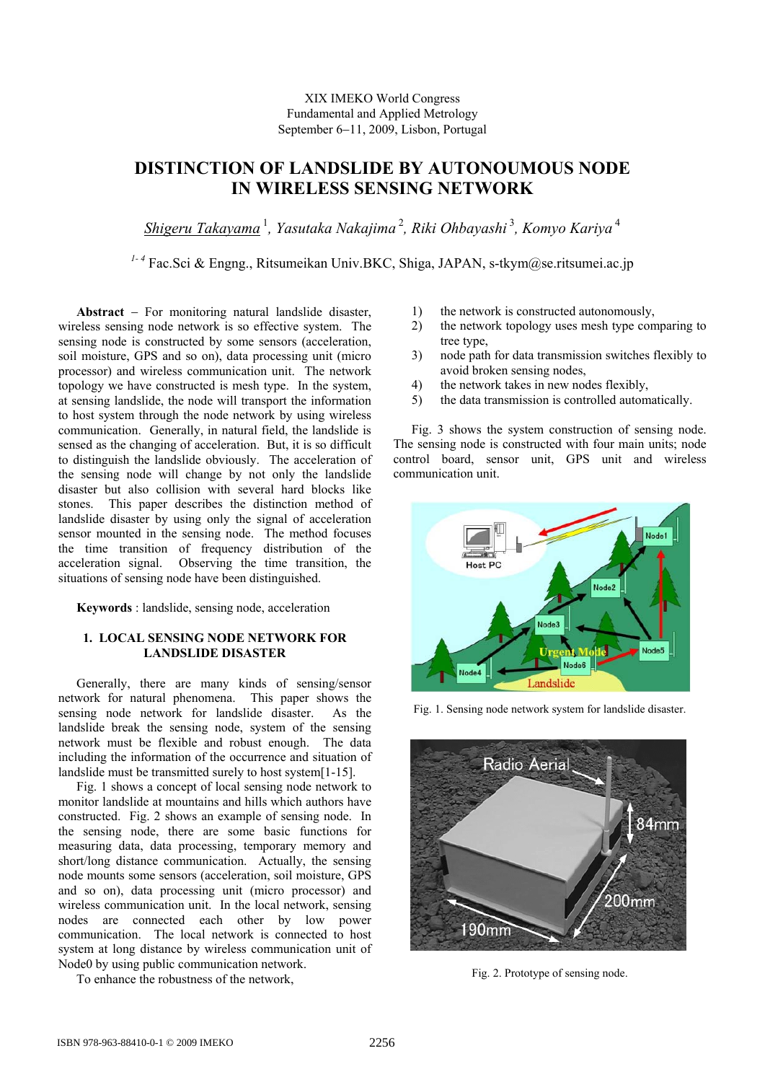# XIX IMEKO World Congress Fundamental and Applied Metrology September 6−11, 2009, Lisbon, Portugal

# **DISTINCTION OF LANDSLIDE BY AUTONOUMOUS NODE IN WIRELESS SENSING NETWORK**

*Shigeru Takayama*<sup>1</sup>*, Yasutaka Nakajima*<sup>2</sup>*, Riki Ohbayashi*<sup>3</sup>*, Komyo Kariya*<sup>4</sup>

*1- 4* Fac.Sci & Engng., Ritsumeikan Univ.BKC, Shiga, JAPAN, s-tkym@se.ritsumei.ac.jp

**Abstract** − For monitoring natural landslide disaster, wireless sensing node network is so effective system. The sensing node is constructed by some sensors (acceleration, soil moisture, GPS and so on), data processing unit (micro processor) and wireless communication unit. The network topology we have constructed is mesh type. In the system, at sensing landslide, the node will transport the information to host system through the node network by using wireless communication. Generally, in natural field, the landslide is sensed as the changing of acceleration. But, it is so difficult to distinguish the landslide obviously. The acceleration of the sensing node will change by not only the landslide disaster but also collision with several hard blocks like stones. This paper describes the distinction method of landslide disaster by using only the signal of acceleration sensor mounted in the sensing node. The method focuses the time transition of frequency distribution of the acceleration signal. Observing the time transition, the situations of sensing node have been distinguished.

**Keywords** : landslide, sensing node, acceleration

# **1. LOCAL SENSING NODE NETWORK FOR LANDSLIDE DISASTER**

Generally, there are many kinds of sensing/sensor network for natural phenomena. This paper shows the sensing node network for landslide disaster. As the landslide break the sensing node, system of the sensing network must be flexible and robust enough. The data including the information of the occurrence and situation of landslide must be transmitted surely to host system<sup>[1-15]</sup>.

Fig. 1 shows a concept of local sensing node network to monitor landslide at mountains and hills which authors have constructed. Fig. 2 shows an example of sensing node. In the sensing node, there are some basic functions for measuring data, data processing, temporary memory and short/long distance communication. Actually, the sensing node mounts some sensors (acceleration, soil moisture, GPS and so on), data processing unit (micro processor) and wireless communication unit. In the local network, sensing nodes are connected each other by low power communication. The local network is connected to host system at long distance by wireless communication unit of Node0 by using public communication network.

To enhance the robustness of the network,

- 1) the network is constructed autonomously,
- 2) the network topology uses mesh type comparing to tree type,
- 3) node path for data transmission switches flexibly to avoid broken sensing nodes,
- 4) the network takes in new nodes flexibly,
- 5) the data transmission is controlled automatically.

Fig. 3 shows the system construction of sensing node. The sensing node is constructed with four main units; node control board, sensor unit, GPS unit and wireless communication unit.



Fig. 1. Sensing node network system for landslide disaster.



Fig. 2. Prototype of sensing node.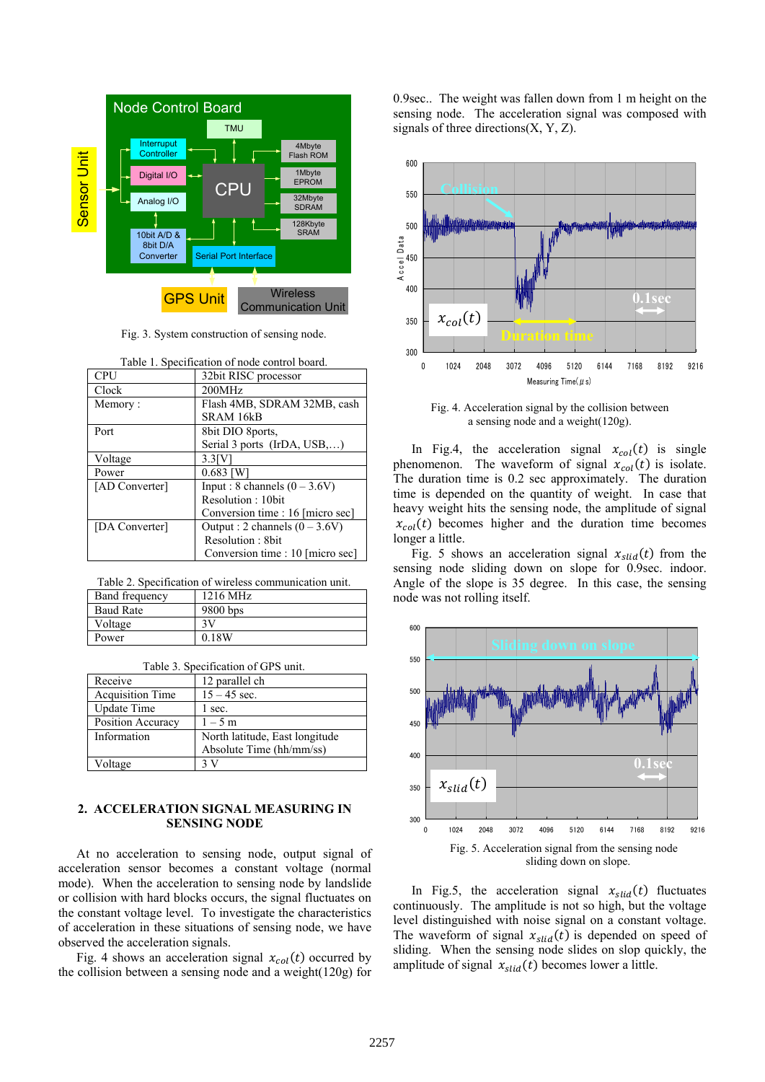

Fig. 3. System construction of sensing node.

| <b>CPU</b>     | 32bit RISC processor             |
|----------------|----------------------------------|
| Clock          | 200MHz                           |
| Memory:        | Flash 4MB, SDRAM 32MB, cash      |
|                | SRAM 16kB                        |
| Port           | 8bit DIO 8ports,                 |
|                | Serial 3 ports (IrDA, USB,)      |
| Voltage        | $3.3$ $\rm{IV}$                  |
| Power          | $0.683$ [W]                      |
| [AD Converter] | Input : 8 channels $(0 - 3.6V)$  |
|                | Resolution: 10bit                |
|                | Conversion time : 16 [micro sec] |
| [DA Converter] | Output : 2 channels $(0 - 3.6V)$ |
|                | Resolution: 8bit                 |
|                | Conversion time : 10 [micro sec] |

Table 1. Specification of node control board.

Table 2. Specification of wireless communication unit.

| <b>Band frequency</b> | 1216 MHz |
|-----------------------|----------|
| <b>Baud Rate</b>      | 9800 bps |
| Voltage               | зv       |
| Power                 | 0.18W    |

Table 3. Specification of GPS unit.

| Receive                 | 12 parallel ch                 |
|-------------------------|--------------------------------|
| <b>Acquisition Time</b> | $15 - 45$ sec.                 |
| Update Time             | l sec.                         |
| Position Accuracy       | $1 - 5$ m                      |
| Information             | North latitude, East longitude |
|                         | Absolute Time (hh/mm/ss)       |
| Voltage                 |                                |

## **2. ACCELERATION SIGNAL MEASURING IN SENSING NODE**

At no acceleration to sensing node, output signal of acceleration sensor becomes a constant voltage (normal mode). When the acceleration to sensing node by landslide or collision with hard blocks occurs, the signal fluctuates on the constant voltage level. To investigate the characteristics of acceleration in these situations of sensing node, we have observed the acceleration signals.

Fig. 4 shows an acceleration signal  $x_{col}(t)$  occurred by the collision between a sensing node and a weight(120g) for 0.9sec.. The weight was fallen down from 1 m height on the sensing node. The acceleration signal was composed with signals of three directions $(X, Y, Z)$ .



Fig. 4. Acceleration signal by the collision between a sensing node and a weight $(120g)$ .

In Fig.4, the acceleration signal  $x_{col}(t)$  is single phenomenon. The waveform of signal  $x_{col}(t)$  is isolate. The duration time is 0.2 sec approximately. The duration time is depended on the quantity of weight. In case that heavy weight hits the sensing node, the amplitude of signal  $x_{col}(t)$  becomes higher and the duration time becomes longer a little.

Fig. 5 shows an acceleration signal  $x_{\text{slid}}(t)$  from the sensing node sliding down on slope for 0.9sec. indoor. Angle of the slope is 35 degree. In this case, the sensing node was not rolling itself.



In Fig.5, the acceleration signal  $x_{\text{slid}}(t)$  fluctuates continuously. The amplitude is not so high, but the voltage level distinguished with noise signal on a constant voltage. The waveform of signal  $x_{slid}(t)$  is depended on speed of sliding. When the sensing node slides on slop quickly, the amplitude of signal  $x_{slid}(t)$  becomes lower a little.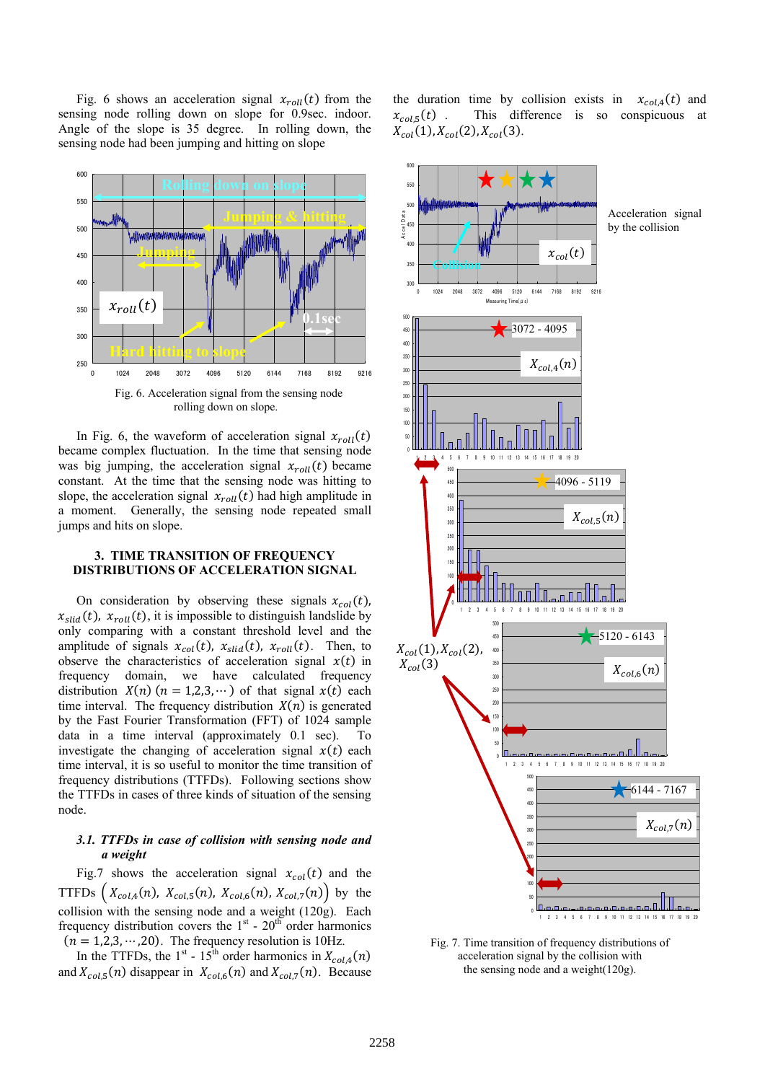Fig. 6 shows an acceleration signal  $x_{roll}(t)$  from the sensing node rolling down on slope for 0.9sec. indoor. Angle of the slope is 35 degree. In rolling down, the sensing node had been jumping and hitting on slope



rolling down on slope.

In Fig. 6, the waveform of acceleration signal  $x_{roll}(t)$ became complex fluctuation. In the time that sensing node was big jumping, the acceleration signal  $x_{roll}(t)$  became constant. At the time that the sensing node was hitting to slope, the acceleration signal  $x_{roll}(t)$  had high amplitude in a moment. Generally, the sensing node repeated small jumps and hits on slope.

## **3. TIME TRANSITION OF FREQUENCY DISTRIBUTIONS OF ACCELERATION SIGNAL**

On consideration by observing these signals  $x_{col}(t)$ ,  $x_{\text{slid}}(t)$ ,  $x_{\text{roll}}(t)$ , it is impossible to distinguish landslide by only comparing with a constant threshold level and the amplitude of signals  $x_{col}(t)$ ,  $x_{slid}(t)$ ,  $x_{roll}(t)$ . Then, to observe the characteristics of acceleration signal  $x(t)$  in frequency domain, we have calculated frequency distribution  $X(n)$   $(n = 1,2,3, \dots)$  of that signal  $x(t)$  each time interval. The frequency distribution  $X(n)$  is generated by the Fast Fourier Transformation (FFT) of 1024 sample data in a time interval (approximately 0.1 sec). To investigate the changing of acceleration signal  $x(t)$  each time interval, it is so useful to monitor the time transition of frequency distributions (TTFDs). Following sections show the TTFDs in cases of three kinds of situation of the sensing node.

#### 3.1. TTFDs in case of collision with sensing node and *a weight*

Fig.7 shows the acceleration signal  $x_{col}(t)$  and the TTFDs  $(X_{col,4}(n), X_{col,5}(n), X_{col,6}(n), X_{col,7}(n))$  by the collision with the sensing node and a weight (120g). Each frequency distribution covers the  $1<sup>st</sup>$  - 20<sup>th</sup> order harmonics  $(n = 1,2,3,\dots,20)$ . The frequency resolution is 10Hz.

In the TTFDs, the 1<sup>st</sup> - 15<sup>th</sup> order harmonics in  $X_{col,4}(n)$ and  $X_{col,5}(n)$  disappear in  $X_{col,6}(n)$  and  $X_{col,7}(n)$ . Because the duration time by collision exists in  $x_{col,4}(t)$  and  $x_{col,5}(t)$  . This difference is so conspicuous at  $X_{col}(1), X_{col}(2), X_{col}(3).$ 



Fig. 7. Time transition of frequency distributions of acceleration signal by the collision with the sensing node and a weight(120g).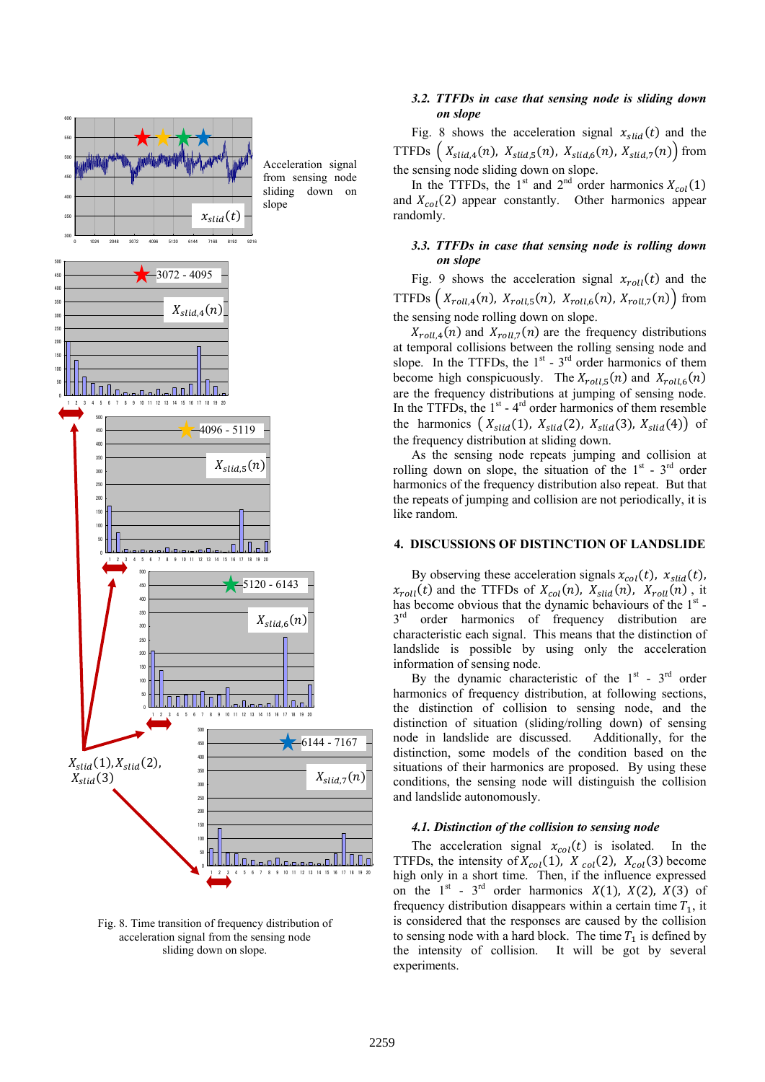



#### 3.2. TTFDs in case that sensing node is sliding down *on slope*

Fig. 8 shows the acceleration signal  $x_{\text{slid}}(t)$  and the TTFDs  $(X_{\text{slid},4}(n), X_{\text{slid},5}(n), X_{\text{slid},6}(n), X_{\text{slid},7}(n))$  from the sensing node sliding down on slope.

In the TTFDs, the 1<sup>st</sup> and 2<sup>nd</sup> order harmonics  $X_{col}(1)$ and  $X_{col}(2)$  appear constantly. Other harmonics appear randomly.

## 3.3. TTFDs in case that sensing node is rolling down *on slope*

Fig. 9 shows the acceleration signal  $x_{roll}(t)$  and the TTFDs  $(X_{roll,4}(n), X_{roll,5}(n), X_{roll,6}(n), X_{roll,7}(n))$  from the sensing node rolling down on slope.

 $X_{roll,4}(n)$  and  $X_{roll,7}(n)$  are the frequency distributions at temporal collisions between the rolling sensing node and slope. In the TTFDs, the  $1<sup>st</sup>$  -  $3<sup>rd</sup>$  order harmonics of them become high conspicuously. The  $X_{roll,5}(n)$  and  $X_{roll,6}(n)$ are the frequency distributions at jumping of sensing node. In the TTFDs, the  $1<sup>st</sup>$  -  $4<sup>rd</sup>$  order harmonics of them resemble the harmonics  $(X_{slid}(1), X_{slid}(2), X_{slid}(3), X_{slid}(4))$  of the frequency distribution at sliding down.

As the sensing node repeats jumping and collision at rolling down on slope, the situation of the  $1<sup>st</sup>$  -  $3<sup>rd</sup>$  order harmonics of the frequency distribution also repeat. But that the repeats of jumping and collision are not periodically, it is like random.

## **4. DISCUSSIONS OF DISTINCTION OF LANDSLIDE**

By observing these acceleration signals  $x_{col}(t)$ ,  $x_{slid}(t)$ ,  $x_{roll}(t)$  and the TTFDs of  $X_{col}(n)$ ,  $X_{slid}(n)$ ,  $X_{roll}(n)$ , it has become obvious that the dynamic behaviours of the 1<sup>st</sup> - $3<sup>rd</sup>$  order harmonics of frequency distribution are characteristic each signal. This means that the distinction of landslide is possible by using only the acceleration information of sensing node.

By the dynamic characteristic of the  $1<sup>st</sup>$  -  $3<sup>rd</sup>$  order harmonics of frequency distribution, at following sections, the distinction of collision to sensing node, and the distinction of situation (sliding/rolling down) of sensing node in landslide are discussed. Additionally, for the distinction, some models of the condition based on the situations of their harmonics are proposed. By using these conditions, the sensing node will distinguish the collision and landslide autonomously.

#### **4.1. Distinction of the collision to sensing node**

The acceleration signal  $x_{col}(t)$  is isolated. In the TTFDs, the intensity of  $X_{col}(1)$ ,  $X_{col}(2)$ ,  $X_{col}(3)$  become high only in a short time. Then, if the influence expressed on the  $1<sup>st</sup>$  - 3<sup>rd</sup> order harmonics  $X(1)$ ,  $X(2)$ ,  $X(3)$  of frequency distribution disappears within a certain time  $T_1$ , it is considered that the responses are caused by the collision to sensing node with a hard block. The time  $T_1$  is defined by the intensity of collision. It will be got by several experiments.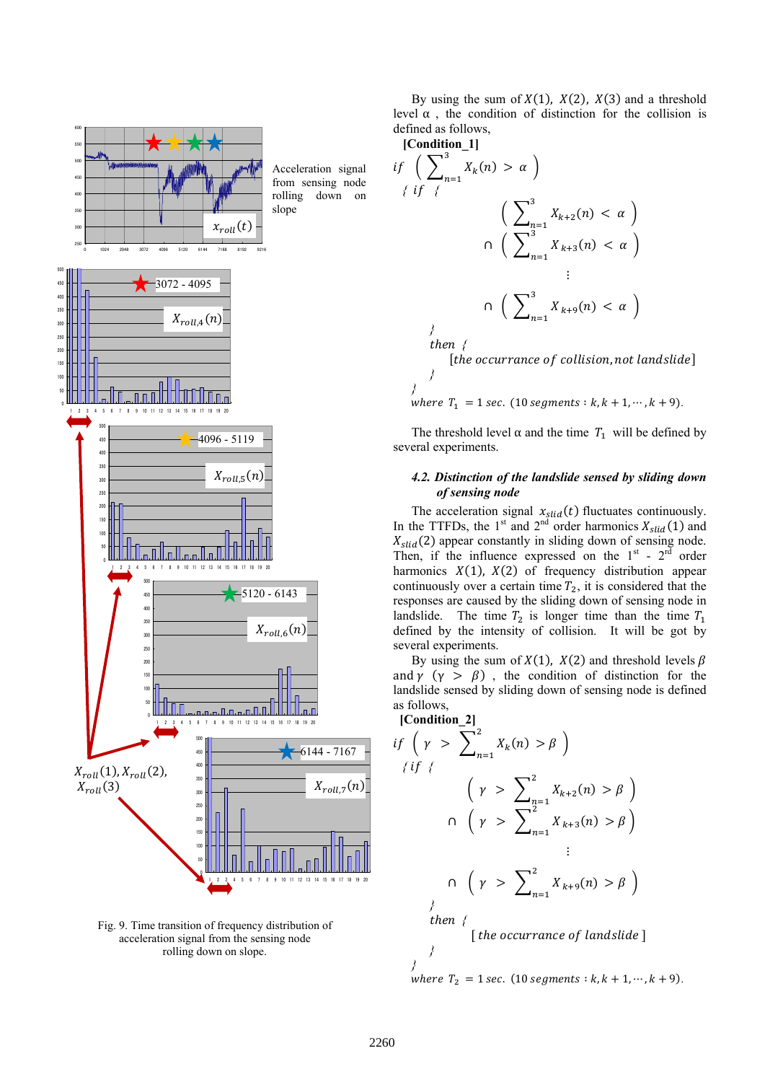



By using the sum of  $X(1)$ ,  $X(2)$ ,  $X(3)$  and a threshold level α , the condition of distinction for the collision is defined as follows,

**[Condition\_1]** 

$$
\begin{aligned}\n\text{if } \left( \sum_{n=1}^{3} X_{k}(n) > \alpha \right) \\
\text{if } \left\{ \begin{array}{l} \left( \sum_{n=1}^{3} X_{k+2}(n) < \alpha \right) \\
\text{if } \left( \sum_{n=1}^{3} X_{k+3}(n) < \alpha \right) \\
\text{if } \left( \sum_{n=1}^{3} X_{k+3}(n) < \alpha \right) \\
\text{if } \left( \sum_{n=1}^{3} X_{k+9}(n) < \alpha \right) \\
\text{if } \left( \sum_{n=1}^{3} X_{k+9}(n) < \alpha \right) \\
\text{if } \left( \sum_{n=1}^{3} X_{k+9}(n) < \alpha \right) \\
\text{if } \left( \sum_{n=1}^{3} X_{k+9}(n) < \alpha \right) \\
\text{if } \left( \sum_{n=1}^{3} X_{k+9}(n) < \alpha \right) \\
\text{if } \left( \sum_{n=1}^{3} X_{k+9}(n) < \alpha \right) \\
\text{if } \left( \sum_{n=1}^{3} X_{k+9}(n) < \alpha \right) \\
\text{if } \left( \sum_{n=1}^{3} X_{k+9}(n) < \alpha \right) \\
\text{if } \left( \sum_{n=1}^{3} X_{k+9}(n) < \alpha \right) \\
\text{if } \left( \sum_{n=1}^{3} X_{k+9}(n) < \alpha \right) < \alpha\n\end{array}\n\end{aligned}
$$

where  $T_1 = 1 \text{ sec. } (10 \text{ segments} : k, k + 1, \dots, k + 9).$ 

The threshold level  $\alpha$  and the time  $T_1$  will be defined by several experiments.

#### 4.2. Distinction of the landslide sensed by sliding down *of sensing node*

The acceleration signal  $x_{\text{slid}}(t)$  fluctuates continuously. In the TTFDs, the 1<sup>st</sup> and 2<sup>nd</sup> order harmonics  $X_{\text{slid}}(1)$  and  $X_{slid}(2)$  appear constantly in sliding down of sensing node. Then, if the influence expressed on the  $1<sup>st</sup>$  -  $2<sup>rd</sup>$  order harmonics  $X(1)$ ,  $X(2)$  of frequency distribution appear continuously over a certain time  $T_2$ , it is considered that the responses are caused by the sliding down of sensing node in landslide. The time  $T_2$  is longer time than the time  $T_1$ defined by the intensity of collision. It will be got by several experiments.

By using the sum of  $X(1)$ ,  $X(2)$  and threshold levels  $\beta$ and  $\gamma$  ( $\gamma > \beta$ ), the condition of distinction for the landslide sensed by sliding down of sensing node is defined as follows,

$$
\begin{aligned}\n\text{[Condition_2]}\\
\text{if } \left( \gamma > \sum_{n=1}^2 X_k(n) > \beta \right) \\
\text{if } \left( \gamma > \sum_{n=1}^2 X_{k+2}(n) > \beta \right) \\
\text{if } \left( \gamma > \sum_{n=1}^2 X_{k+3}(n) > \beta \right) \\
&\vdots \\
\text{if } \left( \gamma > \sum_{n=1}^2 X_{k+9}(n) > \beta \right) \\
&\vdots \\
\text{then } \left( \text{[the occurrence of landslide]}\right)\n\end{aligned}
$$

where  $T_2 = 1 \text{ sec.} (10 \text{ segments} : k, k + 1, \dots, k + 9)$ .